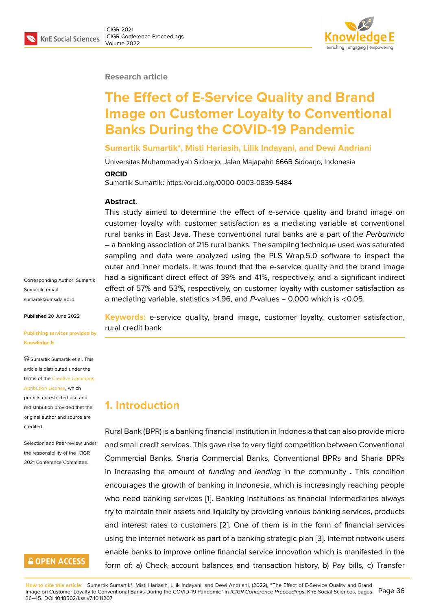#### **Research article**

# **The Effect of E-Service Quality and Brand Image on Customer Loyalty to Conventional Banks During the COVID-19 Pandemic**

#### **Sumartik Sumartik\*, Misti Hariasih, Lilik Indayani, and Dewi Andriani**

Universitas Muhammadiyah Sidoarjo, Jalan Majapahit 666B Sidoarjo, Indonesia

#### **ORCID**

Sumartik Sumartik: https://orcid.org/0000-0003-0839-5484

#### **Abstract.**

This study aimed to determine the effect of e-service quality and brand image on customer loyalty with customer satisfaction as a mediating variable at conventional rural banks in East Java. These conventional rural banks are a part of the *Perbarindo* – a banking association of 215 rural banks. The sampling technique used was saturated sampling and data were analyzed using the PLS Wrap.5.0 software to inspect the outer and inner models. It was found that the e-service quality and the brand image had a significant direct effect of 39% and 41%, respectively, and a significant indirect effect of 57% and 53%, respectively, on customer loyalty with customer satisfaction as a mediating variable, statistics >1.96, and *P*-values = 0.000 which is <0.05.

**Keywords:** e-service quality, brand image, customer loyalty, customer satisfaction, rural credit bank

### **1. Introduction**

Rural Bank (BPR) is a banking financial institution in Indonesia that can also provide micro and small credit services. This gave rise to very tight competition between Conventional Commercial Banks, Sharia Commercial Banks, Conventional BPRs and Sharia BPRs in increasing the amount of *funding* and *lending* in the community **.** This condition encourages the growth of banking in Indonesia, which is increasingly reaching people who need banking services [1]. Banking institutions as financial intermediaries always try to maintain their assets and liquidity by providing various banking services, products and interest rates to customers [2]. One of them is in the form of financial services using the internet network as [p](#page-8-0)art of a banking strategic plan [3]. Internet network users enable banks to improve online financial service innovation which is manifested in the form of: a) Check account balan[ce](#page-8-1)s and transaction history, b) Pay bills, c) Transfer

Corresponding Author: Sumartik Sumartik; email: sumartik@umsida.ac.id

**Published** 20 June 2022

#### **[Publishing services pro](mailto:sumartik@umsida.ac.id)vided by Knowledge E**

Sumartik Sumartik et al. This article is distributed under the terms of the Creative Commons Attribution License, which

permits unrestricted use and redistribution provided that the original auth[or and source are](https://creativecommons.org/licenses/by/4.0/) [credited.](https://creativecommons.org/licenses/by/4.0/)

Selection and Peer-review under the responsibility of the ICIGR 2021 Conference Committee.

## **GOPEN ACCESS**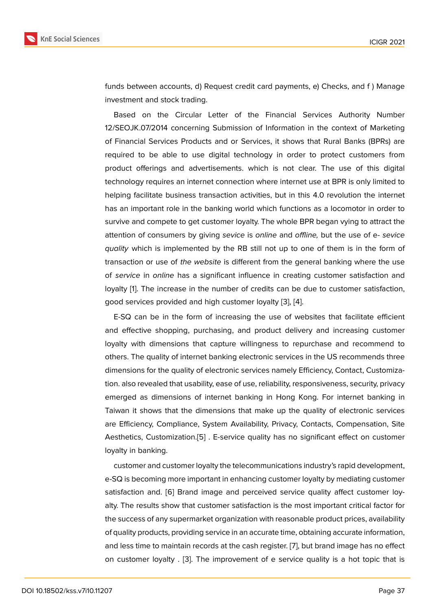funds between accounts, d) Request credit card payments, e) Checks, and f ) Manage investment and stock trading.

Based on the Circular Letter of the Financial Services Authority Number 12/SEOJK.07/2014 concerning Submission of Information in the context of Marketing of Financial Services Products and or Services, it shows that Rural Banks (BPRs) are required to be able to use digital technology in order to protect customers from product offerings and advertisements. which is not clear. The use of this digital technology requires an internet connection where internet use at BPR is only limited to helping facilitate business transaction activities, but in this 4.0 revolution the internet has an important role in the banking world which functions as a locomotor in order to survive and compete to get customer loyalty. The whole BPR began vying to attract the attention of consumers by giving *sevice* is *online* and *offline,* but the use of e- *sevice quality* which is implemented by the RB still not up to one of them is in the form of transaction or use of *the website* is different from the general banking where the use of *service* in *online* has a significant influence in creating customer satisfaction and loyalty [1]. The increase in the number of credits can be due to customer satisfaction, good services provided and high customer loyalty [3], [4].

E-SQ can be in the form of increasing the use of websites that facilitate efficient and eff[e](#page-8-0)ctive shopping, purchasing, and product delivery and increasing customer loyalty with dimensions that capture willingness [to](#page-8-2) r[ep](#page-8-3)urchase and recommend to others. The quality of internet banking electronic services in the US recommends three dimensions for the quality of electronic services namely Efficiency, Contact, Customization. also revealed that usability, ease of use, reliability, responsiveness, security, privacy emerged as dimensions of internet banking in Hong Kong. For internet banking in Taiwan it shows that the dimensions that make up the quality of electronic services are Efficiency, Compliance, System Availability, Privacy, Contacts, Compensation, Site Aesthetics, Customization.[5] . E-service quality has no significant effect on customer loyalty in banking.

customer and customer loyalty the telecommunications industry's rapid development, e-SQ is becoming more im[po](#page-8-4)rtant in enhancing customer loyalty by mediating customer satisfaction and. [6] Brand image and perceived service quality affect customer loyalty. The results show that customer satisfaction is the most important critical factor for the success of any supermarket organization with reasonable product prices, availability of quality product[s, p](#page-8-5)roviding service in an accurate time, obtaining accurate information, and less time to maintain records at the cash register. [7], but brand image has no effect on customer loyalty . [3]. The improvement of e service quality is a hot topic that is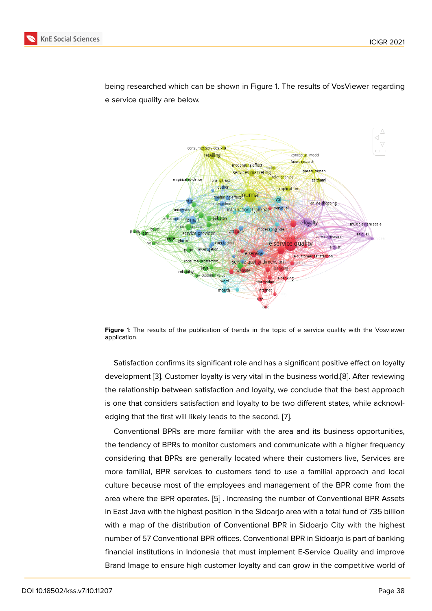being researched which can be shown in Figure 1. The results of VosViewer regarding e service quality are below.



**Figure** 1: The results of the publication of trends in the topic of e service quality with the Vosviewer application.

Satisfaction confirms its significant role and has a significant positive effect on loyalty development [3]. Customer loyalty is very vital in the business world.[8]. After reviewing the relationship between satisfaction and loyalty, we conclude that the best approach is one that considers satisfaction and loyalty to be two different states, while acknowledging that th[e](#page-8-2) first will likely leads to the second. [7].

Conventional BPRs are more familiar with the area and its business opportunities, the tendency of BPRs to monitor customers and communicate with a higher frequency considering that BPRs are generally located wher[e t](#page-9-0)heir customers live, Services are more familial, BPR services to customers tend to use a familial approach and local culture because most of the employees and management of the BPR come from the area where the BPR operates. [5] . Increasing the number of Conventional BPR Assets in East Java with the highest position in the Sidoarjo area with a total fund of 735 billion with a map of the distribution of Conventional BPR in Sidoarjo City with the highest number of 57 Conventional BP[R o](#page-8-4)ffices. Conventional BPR in Sidoarjo is part of banking financial institutions in Indonesia that must implement E-Service Quality and improve Brand Image to ensure high customer loyalty and can grow in the competitive world of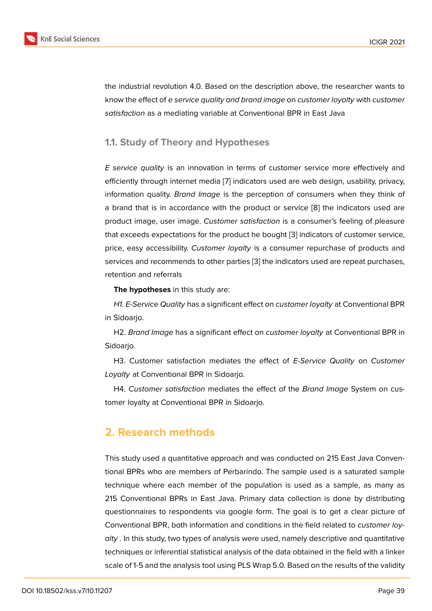the industrial revolution 4.0. Based on the description above, the researcher wants to know the effect of *e service quality and brand image* on *customer loyalty* with *customer satisfaction* as a mediating variable at Conventional BPR in East Java

#### **1.1. Study of Theory and Hypotheses**

*E service quality* is an innovation in terms of customer service more effectively and efficiently through internet media [7] indicators used are web design, usability, privacy, information quality. *Brand Image* is the perception of consumers when they think of a brand that is in accordance with the product or service [8] the indicators used are product image, user image. *Custo[m](#page-9-0)er satisfaction* is a consumer's feeling of pleasure that exceeds expectations for the product he bought [3] indicators of customer service, price, easy accessibility. *Customer loyalty* is a consumer r[ep](#page-9-1)urchase of products and services and recommends to other parties [3] the indicators used are repeat purchases, retention and referrals

**The hypotheses** in this study are:

*H1. E-Service Quality* has a significant eff[ec](#page-8-2)t on *customer loyalty* at Conventional BPR in Sidoarjo.

H2. *Brand Image* has a significant effect on *customer loyalty* at Conventional BPR in Sidoarjo.

H3. Customer satisfaction mediates the effect of *E-Service Quality* on *Customer Loyalty* at Conventional BPR in Sidoarjo.

H4. *Customer satisfaction* mediates the effect of the *Brand Image* System on customer loyalty at Conventional BPR in Sidoarjo.

## **2. Research methods**

This study used a quantitative approach and was conducted on 215 East Java Conventional BPRs who are members of Perbarindo. The sample used is a saturated sample technique where each member of the population is used as a sample, as many as 215 Conventional BPRs in East Java. Primary data collection is done by distributing questionnaires to respondents via google form. The goal is to get a clear picture of Conventional BPR, both information and conditions in the field related to *customer loyalty* . In this study, two types of analysis were used, namely descriptive and quantitative techniques or inferential statistical analysis of the data obtained in the field with a linker scale of 1-5 and the analysis tool using PLS Wrap 5.0. Based on the results of the validity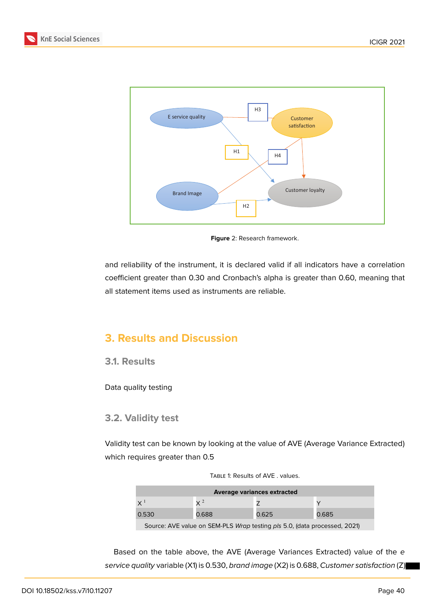



<span id="page-4-0"></span>**Figure** 2: Research framework.

and reliability of the instrument, it is declared valid if all indicators have a correlation coefficient greater than 0.30 and Cronbach's alpha is greater than 0.60, meaning that all statement items used as instruments are reliable.

## **3. Results and Discussion**

#### **3.1. Results**

Data quality testing

### **3.2. Validity test**

Validity test can be known by looking at the value of AVE (Average Variance Extracted) which requires greater than 0.5

| <b>Average variances extracted</b>                                        |                |       |       |  |  |
|---------------------------------------------------------------------------|----------------|-------|-------|--|--|
| $X^1$                                                                     | $\mathsf{v}$ 2 |       |       |  |  |
| 0.530                                                                     | 0.688          | 0.625 | 0.685 |  |  |
| Source: AVE value on SEM-PLS Wrap testing pls 5.0, (data processed, 2021) |                |       |       |  |  |

TABLE 1: Results of AVE . values.

Based on the table above, the AVE (Average Variances Extracted) value of the *e service quality* variable (X1) is 0.530, *brand image* (X2) is 0.688, *Customer satisfaction* (Z)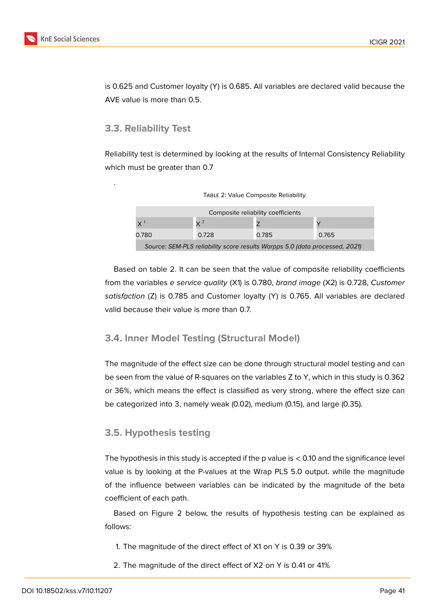is 0.625 and Customer loyalty (Y) is 0.685. All variables are declared valid because the AVE value is more than 0.5.

### **3.3. Reliability Test**

.

Reliability test is determined by looking at the results of Internal Consistency Reliability which must be greater than 0.7

| Composite reliability coefficients                                          |            |       |       |  |  |
|-----------------------------------------------------------------------------|------------|-------|-------|--|--|
| $X^1$                                                                       | $\times$ 2 |       |       |  |  |
| 0.780                                                                       | 0.728      | 0.785 | 0.765 |  |  |
| Source: SEM-PLS reliability score results Warpps 5.0 (data processed, 2021) |            |       |       |  |  |

TABLE 2: Value Composite Reliability.

Based on table 2. It can be seen that the value of composite reliability coefficients from the variables *e service quality* (X1) is 0.780, *brand image* (X2) is 0.728, *Customer satisfaction* (Z) is 0.785 and Customer loyalty (Y) is 0.765. All variables are declared valid because their value is more than 0.7.

### **3.4. Inner Model Testing (Structural Model)**

The magnitude of the effect size can be done through structural model testing and can be seen from the value of R-squares on the variables Z to Y, which in this study is 0.362 or 36%, which means the effect is classified as very strong, where the effect size can be categorized into 3, namely weak (0.02), medium (0.15), and large (0.35).

### **3.5. Hypothesis testing**

The hypothesis in this study is accepted if the p value is < 0.10 and the significance level value is by looking at the P-values at the Wrap PLS 5.0 output. while the magnitude of the influence between variables can be indicated by the magnitude of the beta coefficient of each path.

Based on Figure 2 below, the results of hypothesis testing can be explained as follows:

- 1. The magnitude [o](#page-4-0)f the direct effect of X1 on Y is 0.39 or 39%
- 2. The magnitude of the direct effect of X2 on Y is 0.41 or 41%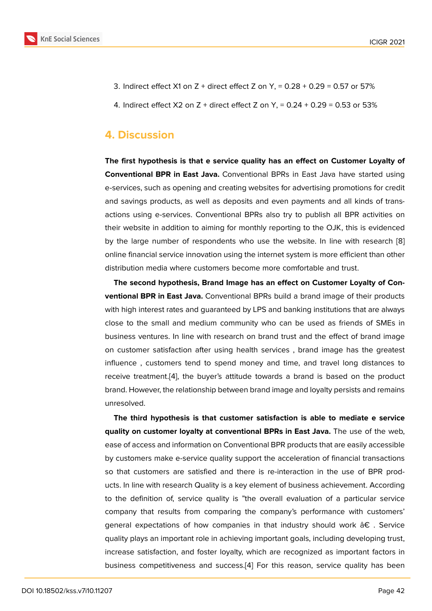- 3. Indirect effect X1 on Z + direct effect Z on Y, = 0.28 + 0.29 = 0.57 or 57%
- 4. Indirect effect  $X2$  on  $Z +$  direct effect  $Z$  on  $Y = 0.24 + 0.29 = 0.53$  or 53%

### **4. Discussion**

**The first hypothesis is that e service quality has an effect on Customer Loyalty of Conventional BPR in East Java.** Conventional BPRs in East Java have started using e-services, such as opening and creating websites for advertising promotions for credit and savings products, as well as deposits and even payments and all kinds of transactions using e-services. Conventional BPRs also try to publish all BPR activities on their website in addition to aiming for monthly reporting to the OJK, this is evidenced by the large number of respondents who use the website. In line with research [8] online financial service innovation using the internet system is more efficient than other distribution media where customers become more comfortable and trust.

**The second hypothesis, Brand Image has an effect on Customer Loyalty of Co[n](#page-9-1)ventional BPR in East Java.** Conventional BPRs build a brand image of their products with high interest rates and guaranteed by LPS and banking institutions that are always close to the small and medium community who can be used as friends of SMEs in business ventures. In line with research on brand trust and the effect of brand image on customer satisfaction after using health services , brand image has the greatest influence , customers tend to spend money and time, and travel long distances to receive treatment.[4], the buyer's attitude towards a brand is based on the product brand. However, the relationship between brand image and loyalty persists and remains unresolved.

**The third hypo[th](#page-8-3)esis is that customer satisfaction is able to mediate e service quality on customer loyalty at conventional BPRs in East Java.** The use of the web, ease of access and information on Conventional BPR products that are easily accessible by customers make e-service quality support the acceleration of financial transactions so that customers are satisfied and there is re-interaction in the use of BPR products. In line with research Quality is a key element of business achievement. According to the definition of, service quality is "the overall evaluation of a particular service company that results from comparing the company's performance with customers' general expectations of how companies in that industry should work  $\hat{a} \in \mathcal{E}$ . Service quality plays an important role in achieving important goals, including developing trust, increase satisfaction, and foster loyalty, which are recognized as important factors in business competitiveness and success.[4] For this reason, service quality has been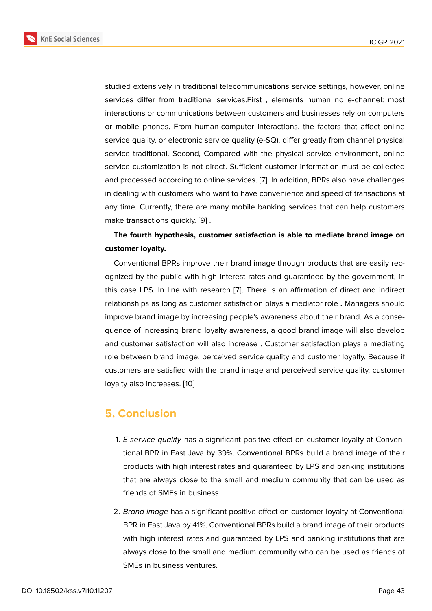studied extensively in traditional telecommunications service settings, however, online services differ from traditional services.First , elements human no e-channel: most interactions or communications between customers and businesses rely on computers or mobile phones. From human-computer interactions, the factors that affect online service quality, or electronic service quality (e-SQ), differ greatly from channel physical service traditional. Second, Compared with the physical service environment, online service customization is not direct. Sufficient customer information must be collected and processed according to online services. [7]. In addition, BPRs also have challenges in dealing with customers who want to have convenience and speed of transactions at any time. Currently, there are many mobile banking services that can help customers make transactions quickly. [9] .

### **The fourth hypothesis, customer satisfaction is able to mediate brand image on customer loyalty.**

Conventional BPRs impr[ov](#page-9-2)e their brand image through products that are easily recognized by the public with high interest rates and guaranteed by the government, in this case LPS. In line with research [7]. There is an affirmation of direct and indirect relationships as long as customer satisfaction plays a mediator role **.** Managers should improve brand image by increasing people's awareness about their brand. As a consequence of increasing brand loyalty a[wa](#page-9-0)reness, a good brand image will also develop and customer satisfaction will also increase . Customer satisfaction plays a mediating role between brand image, perceived service quality and customer loyalty. Because if customers are satisfied with the brand image and perceived service quality, customer loyalty also increases. [10]

### **5. Conclusion**

- 1. *E service quality* has a significant positive effect on customer loyalty at Conventional BPR in East Java by 39%. Conventional BPRs build a brand image of their products with high interest rates and guaranteed by LPS and banking institutions that are always close to the small and medium community that can be used as friends of SMEs in business
- 2. *Brand image* has a significant positive effect on customer loyalty at Conventional BPR in East Java by 41%. Conventional BPRs build a brand image of their products with high interest rates and guaranteed by LPS and banking institutions that are always close to the small and medium community who can be used as friends of SMEs in business ventures.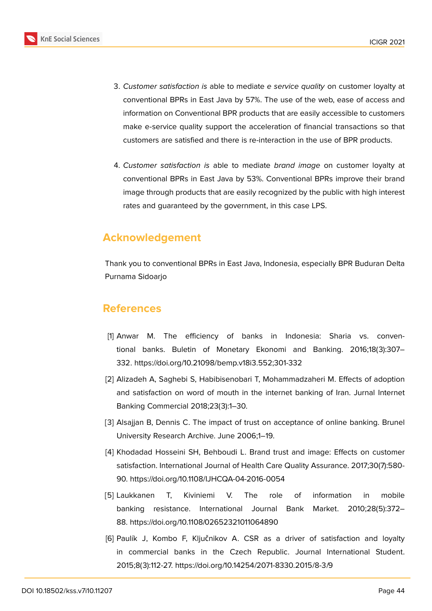- 3. *Customer satisfaction is* able to mediate *e service quality* on customer loyalty at conventional BPRs in East Java by 57%. The use of the web, ease of access and information on Conventional BPR products that are easily accessible to customers make e-service quality support the acceleration of financial transactions so that customers are satisfied and there is re-interaction in the use of BPR products.
	- 4. *Customer satisfaction is* able to mediate *brand image* on customer loyalty at conventional BPRs in East Java by 53%. Conventional BPRs improve their brand image through products that are easily recognized by the public with high interest rates and guaranteed by the government, in this case LPS.

## **Acknowledgement**

Thank you to conventional BPRs in East Java, Indonesia, especially BPR Buduran Delta Purnama Sidoarjo

## **References**

- <span id="page-8-0"></span>[1] Anwar M. The efficiency of banks in Indonesia: Sharia vs. conventional banks. Buletin of Monetary Ekonomi and Banking. 2016;18(3):307– 332. https://doi.org/10.21098/bemp.v18i3.552;301-332
- <span id="page-8-1"></span>[2] Alizadeh A, Saghebi S, Habibisenobari T, Mohammadzaheri M. Effects of adoption and satisfaction on word of mouth in the internet banking of Iran. Jurnal Internet Banking Commercial 2018;23(3):1–30.
- <span id="page-8-2"></span>[3] Alsajjan B, Dennis C. The impact of trust on acceptance of online banking. Brunel University Research Archive. June 2006;1–19.
- <span id="page-8-3"></span>[4] Khodadad Hosseini SH, Behboudi L. Brand trust and image: Effects on customer satisfaction. International Journal of Health Care Quality Assurance. 2017;30(7):580- 90. https://doi.org/10.1108/IJHCQA-04-2016-0054
- <span id="page-8-4"></span>[5] Laukkanen T, Kiviniemi V. The role of information in mobile banking resistance. International Journal Bank Market. 2010;28(5):372– 88. https://doi.org/10.1108/02652321011064890
- <span id="page-8-5"></span>[6] Paulík J, Kombo F, Ključnikov A. CSR as a driver of satisfaction and loyalty in commercial banks in the Czech Republic. Journal International Student. 2015;8(3):112-27. https://doi.org/10.14254/2071-8330.2015/8-3/9